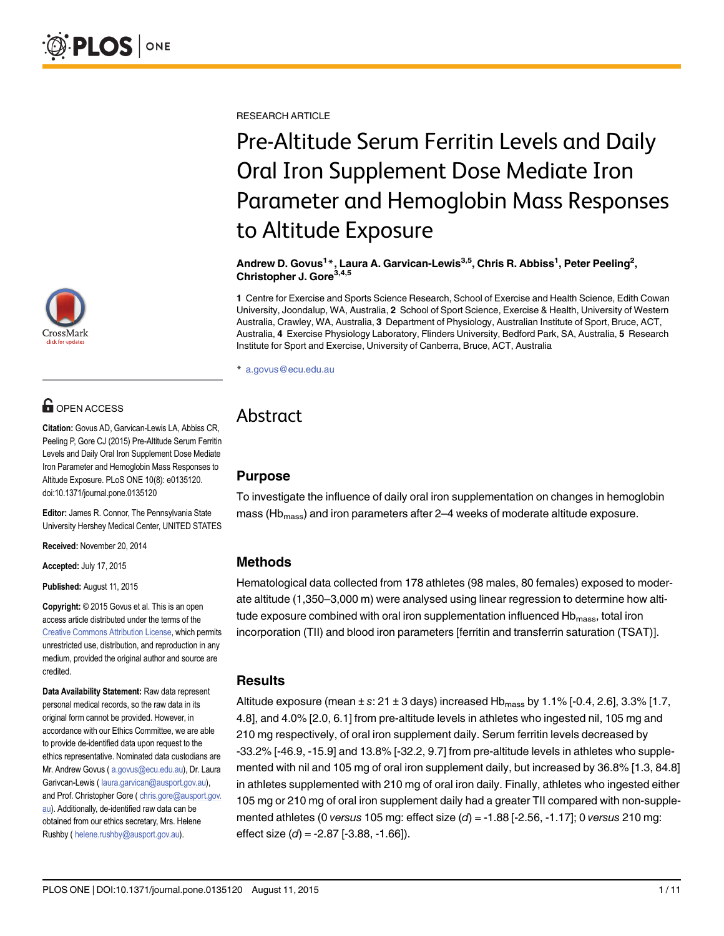# **OPEN ACCESS**

Citation: Govus AD, Garvican-Lewis LA, Abbiss CR, Peeling P, Gore CJ (2015) Pre-Altitude Serum Ferritin Levels and Daily Oral Iron Supplement Dose Mediate Iron Parameter and Hemoglobin Mass Responses to Altitude Exposure. PLoS ONE 10(8): e0135120. doi:10.1371/journal.pone.0135120

Editor: James R. Connor, The Pennsylvania State University Hershey Medical Center, UNITED STATES

Received: November 20, 2014

Accepted: July 17, 2015

Published: August 11, 2015

Copyright: © 2015 Govus et al. This is an open access article distributed under the terms of the [Creative Commons Attribution License,](http://creativecommons.org/licenses/by/4.0/) which permits unrestricted use, distribution, and reproduction in any medium, provided the original author and source are credited.

Data Availability Statement: Raw data represent personal medical records, so the raw data in its original form cannot be provided. However, in accordance with our Ethics Committee, we are able to provide de-identified data upon request to the ethics representative. Nominated data custodians are Mr. Andrew Govus (a.govus@ecu.edu.au), Dr. Laura Garivcan-Lewis ( laura.garvican@ausport.gov.au), and Prof. Christopher Gore ( chris.gore@ausport.gov. au). Additionally, de-identified raw data can be obtained from our ethics secretary, Mrs. Helene Rushby ( helene.rushby@ausport.gov.au).

RESEARCH ARTICLE

# Pre-Altitude Serum Ferritin Levels and Daily Oral Iron Supplement Dose Mediate Iron Parameter and Hemoglobin Mass Responses to Altitude Exposure

Andrew D. Govus<sup>1</sup>\*, Laura A. Garvican-Lewis<sup>3,5</sup>, Chris R. Abbiss<sup>1</sup>, Peter Peeling<sup>2</sup>, Christopher J. Gore<sup>3,4,5</sup>

1 Centre for Exercise and Sports Science Research, School of Exercise and Health Science, Edith Cowan University, Joondalup, WA, Australia, 2 School of Sport Science, Exercise & Health, University of Western Australia, Crawley, WA, Australia, 3 Department of Physiology, Australian Institute of Sport, Bruce, ACT, Australia, 4 Exercise Physiology Laboratory, Flinders University, Bedford Park, SA, Australia, 5 Research Institute for Sport and Exercise, University of Canberra, Bruce, ACT, Australia

\* a.govus@ecu.edu.au

# Abstract

# Purpose

To investigate the influence of daily oral iron supplementation on changes in hemoglobin mass (Hb<sub>mass</sub>) and iron parameters after 2–4 weeks of moderate altitude exposure.

# Methods

Hematological data collected from 178 athletes (98 males, 80 females) exposed to moderate altitude (1,350–3,000 m) were analysed using linear regression to determine how altitude exposure combined with oral iron supplementation influenced  $Hb<sub>mass</sub>$ , total iron incorporation (TII) and blood iron parameters [ferritin and transferrin saturation (TSAT)].

## **Results**

Altitude exposure (mean  $\pm$  s: 21  $\pm$  3 days) increased Hb<sub>mass</sub> by 1.1% [-0.4, 2.6], 3.3% [1.7, 4.8], and 4.0% [2.0, 6.1] from pre-altitude levels in athletes who ingested nil, 105 mg and 210 mg respectively, of oral iron supplement daily. Serum ferritin levels decreased by -33.2% [-46.9, -15.9] and 13.8% [-32.2, 9.7] from pre-altitude levels in athletes who supplemented with nil and 105 mg of oral iron supplement daily, but increased by 36.8% [1.3, 84.8] in athletes supplemented with 210 mg of oral iron daily. Finally, athletes who ingested either 105 mg or 210 mg of oral iron supplement daily had a greater TII compared with non-supplemented athletes (0 versus 105 mg: effect size  $(d) = -1.88$  [-2.56, -1.17]; 0 versus 210 mg: effect size  $(d) = -2.87$  [ $-3.88, -1.66$ ]).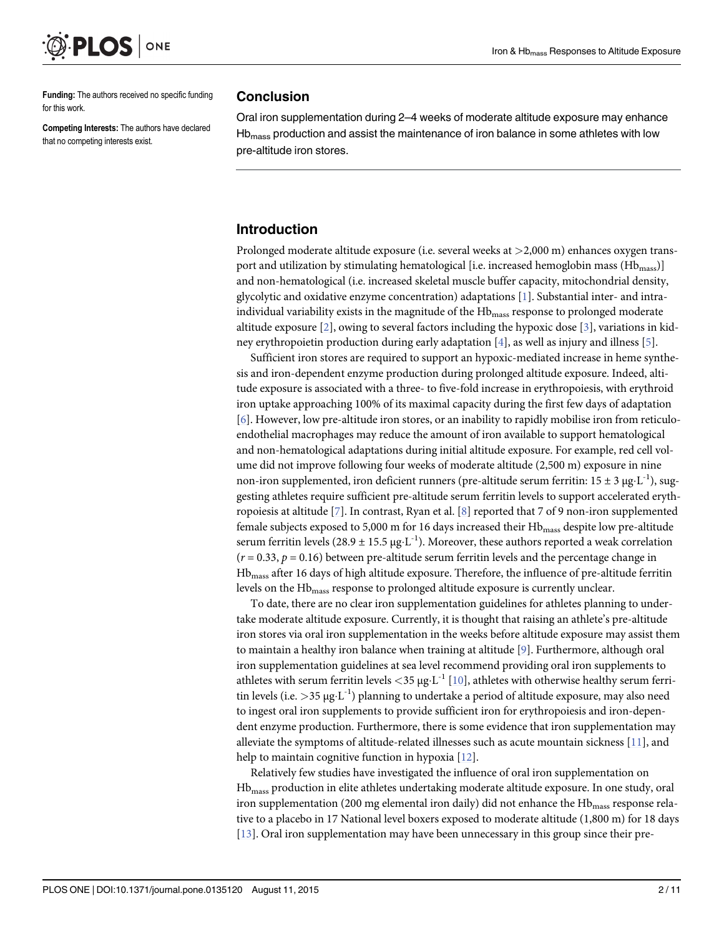<span id="page-1-0"></span>

Funding: The authors received no specific funding for this work.

Competing Interests: The authors have declared that no competing interests exist.

#### Conclusion

Oral iron supplementation during 2–4 weeks of moderate altitude exposure may enhance  $Hb<sub>mass</sub>$  production and assist the maintenance of iron balance in some athletes with low pre-altitude iron stores.

#### Introduction

Prolonged moderate altitude exposure (i.e. several weeks at >2,000 m) enhances oxygen transport and utilization by stimulating hematological [i.e. increased hemoglobin mass (Hb<sub>mass</sub>)] and non-hematological (i.e. increased skeletal muscle buffer capacity, mitochondrial density, glycolytic and oxidative enzyme concentration) adaptations [[1](#page-8-0)]. Substantial inter- and intraindividual variability exists in the magnitude of the Hb<sub>mass</sub> response to prolonged moderate altitude exposure [[2\]](#page-8-0), owing to several factors including the hypoxic dose [[3](#page-8-0)], variations in kidney erythropoietin production during early adaptation  $[4]$  $[4]$ , as well as injury and illness  $[5]$ .

Sufficient iron stores are required to support an hypoxic-mediated increase in heme synthesis and iron-dependent enzyme production during prolonged altitude exposure. Indeed, altitude exposure is associated with a three- to five-fold increase in erythropoiesis, with erythroid iron uptake approaching 100% of its maximal capacity during the first few days of adaptation [\[6](#page-8-0)]. However, low pre-altitude iron stores, or an inability to rapidly mobilise iron from reticuloendothelial macrophages may reduce the amount of iron available to support hematological and non-hematological adaptations during initial altitude exposure. For example, red cell volume did not improve following four weeks of moderate altitude (2,500 m) exposure in nine non-iron supplemented, iron deficient runners (pre-altitude serum ferritin:  $15 \pm 3 \mu g \cdot L^{-1}$ ), suggesting athletes require sufficient pre-altitude serum ferritin levels to support accelerated eryth-ropoiesis at altitude [\[7\]](#page-9-0). In contrast, Ryan et al. [\[8](#page-9-0)] reported that 7 of 9 non-iron supplemented female subjects exposed to 5,000 m for 16 days increased their Hb<sub>mass</sub> despite low pre-altitude serum ferritin levels (28.9  $\pm$  15.5 μg·L<sup>-1</sup>). Moreover, these authors reported a weak correlation  $(r = 0.33, p = 0.16)$  between pre-altitude serum ferritin levels and the percentage change in Hbmass after 16 days of high altitude exposure. Therefore, the influence of pre-altitude ferritin levels on the Hb<sub>mass</sub> response to prolonged altitude exposure is currently unclear.

To date, there are no clear iron supplementation guidelines for athletes planning to undertake moderate altitude exposure. Currently, it is thought that raising an athlete's pre-altitude iron stores via oral iron supplementation in the weeks before altitude exposure may assist them to maintain a healthy iron balance when training at altitude [[9\]](#page-9-0). Furthermore, although oral iron supplementation guidelines at sea level recommend providing oral iron supplements to athletes with serum ferritin levels  $<$ 35 µg·L<sup>-1</sup> [[10](#page-9-0)], athletes with otherwise healthy serum ferritin levels (i.e.  $>$ 35  $\mu$ g·L<sup>-1</sup>) planning to undertake a period of altitude exposure, may also need to ingest oral iron supplements to provide sufficient iron for erythropoiesis and iron-dependent enzyme production. Furthermore, there is some evidence that iron supplementation may alleviate the symptoms of altitude-related illnesses such as acute mountain sickness [[11](#page-9-0)], and help to maintain cognitive function in hypoxia [[12](#page-9-0)].

Relatively few studies have investigated the influence of oral iron supplementation on Hbmass production in elite athletes undertaking moderate altitude exposure. In one study, oral iron supplementation (200 mg elemental iron daily) did not enhance the Hb<sub>mass</sub> response relative to a placebo in 17 National level boxers exposed to moderate altitude (1,800 m) for 18 days [\[13](#page-9-0)]. Oral iron supplementation may have been unnecessary in this group since their pre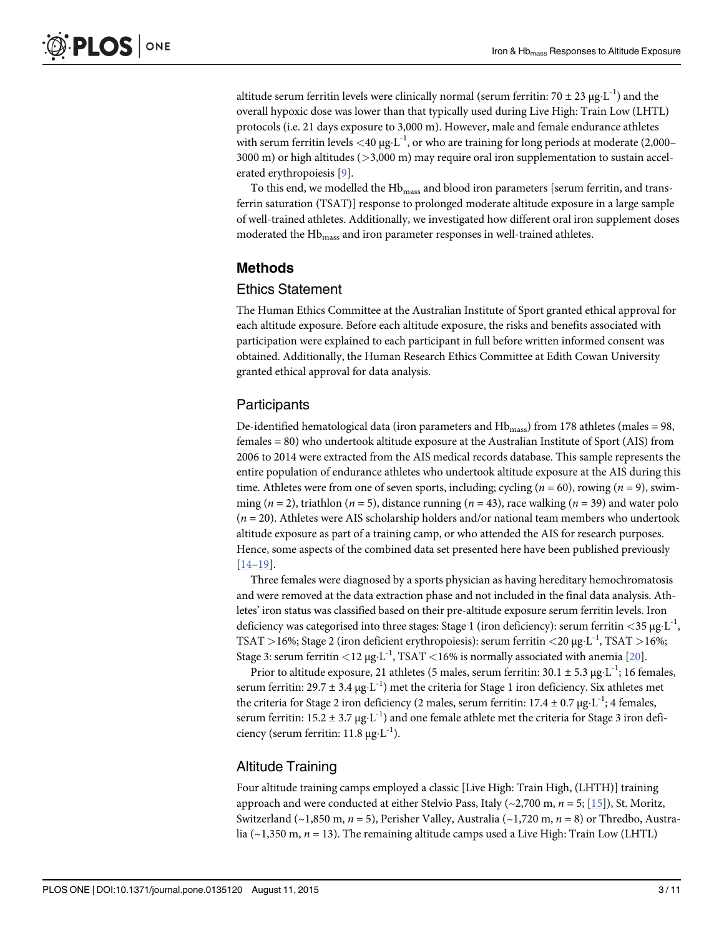<span id="page-2-0"></span>altitude serum ferritin levels were clinically normal (serum ferritin: 70  $\pm$  23 µg·L<sup>-1</sup>) and the overall hypoxic dose was lower than that typically used during Live High: Train Low (LHTL) protocols (i.e. 21 days exposure to 3,000 m). However, male and female endurance athletes with serum ferritin levels  $\langle 40 \mu g \cdot L^{-1}$ , or who are training for long periods at moderate (2,000– 3000 m) or high altitudes (>3,000 m) may require oral iron supplementation to sustain accelerated erythropoiesis [[9\]](#page-9-0).

To this end, we modelled the Hb<sub>mass</sub> and blood iron parameters [serum ferritin, and transferrin saturation (TSAT)] response to prolonged moderate altitude exposure in a large sample of well-trained athletes. Additionally, we investigated how different oral iron supplement doses moderated the Hb<sub>mass</sub> and iron parameter responses in well-trained athletes.

# Methods

#### Ethics Statement

The Human Ethics Committee at the Australian Institute of Sport granted ethical approval for each altitude exposure. Before each altitude exposure, the risks and benefits associated with participation were explained to each participant in full before written informed consent was obtained. Additionally, the Human Research Ethics Committee at Edith Cowan University granted ethical approval for data analysis.

# **Participants**

De-identified hematological data (iron parameters and  $Hb<sub>mass</sub>$ ) from 178 athletes (males = 98, females = 80) who undertook altitude exposure at the Australian Institute of Sport (AIS) from 2006 to 2014 were extracted from the AIS medical records database. This sample represents the entire population of endurance athletes who undertook altitude exposure at the AIS during this time. Athletes were from one of seven sports, including; cycling ( $n = 60$ ), rowing ( $n = 9$ ), swimming ( $n = 2$ ), triathlon ( $n = 5$ ), distance running ( $n = 43$ ), race walking ( $n = 39$ ) and water polo  $(n = 20)$ . Athletes were AIS scholarship holders and/or national team members who undertook altitude exposure as part of a training camp, or who attended the AIS for research purposes. Hence, some aspects of the combined data set presented here have been published previously [\[14](#page-9-0)–[19\]](#page-9-0).

Three females were diagnosed by a sports physician as having hereditary hemochromatosis and were removed at the data extraction phase and not included in the final data analysis. Athletes' iron status was classified based on their pre-altitude exposure serum ferritin levels. Iron deficiency was categorised into three stages: Stage 1 (iron deficiency): serum ferritin  $\langle 35 \mu g L^{-1} \rangle$ , TSAT >16%; Stage 2 (iron deficient erythropoiesis): serum ferritin <20  $\mu$ g·L<sup>-1</sup>, TSAT >16%; Stage 3: serum ferritin <12  $\mu$ g·L<sup>-1</sup>, TSAT <16% is normally associated with anemia [\[20\]](#page-9-0).

Prior to altitude exposure, 21 athletes (5 males, serum ferritin:  $30.1 \pm 5.3 \,\mu g \cdot L^{-1}$ ; 16 females, serum ferritin:  $29.7 \pm 3.4 \,\mu g \cdot L^{-1}$ ) met the criteria for Stage 1 iron deficiency. Six athletes met the criteria for Stage 2 iron deficiency (2 males, serum ferritin:  $17.4 \pm 0.7 \,\mu g \cdot L^{-1}$ ; 4 females, serum ferritin:  $15.2 \pm 3.7 \mu g \cdot L^{-1}$  and one female athlete met the criteria for Stage 3 iron deficiency (serum ferritin:  $11.8 \mu g \cdot L^{-1}$ ).

# Altitude Training

Four altitude training camps employed a classic [Live High: Train High, (LHTH)] training approach and were conducted at either Stelvio Pass, Italy ( $\sim$ 2,700 m,  $n = 5$ ; [\[15\]](#page-9-0)), St. Moritz, Switzerland (~1,850 m,  $n = 5$ ), Perisher Valley, Australia (~1,720 m,  $n = 8$ ) or Thredbo, Australia (~1,350 m,  $n = 13$ ). The remaining altitude camps used a Live High: Train Low (LHTL)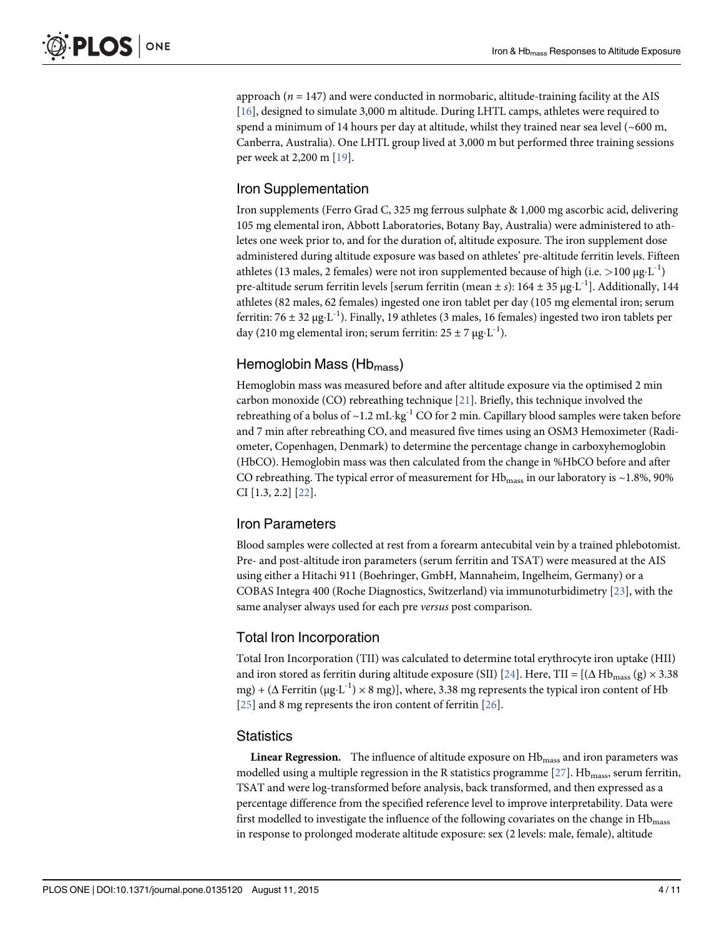<span id="page-3-0"></span>approach  $(n = 147)$  and were conducted in normobaric, altitude-training facility at the AIS [\[16](#page-9-0)], designed to simulate 3,000 m altitude. During LHTL camps, athletes were required to spend a minimum of 14 hours per day at altitude, whilst they trained near sea level  $(\sim 600 \text{ m})$ , Canberra, Australia). One LHTL group lived at 3,000 m but performed three training sessions per week at 2,200 m [\[19](#page-9-0)].

# Iron Supplementation

Iron supplements (Ferro Grad C, 325 mg ferrous sulphate & 1,000 mg ascorbic acid, delivering 105 mg elemental iron, Abbott Laboratories, Botany Bay, Australia) were administered to athletes one week prior to, and for the duration of, altitude exposure. The iron supplement dose administered during altitude exposure was based on athletes' pre-altitude ferritin levels. Fifteen athletes (13 males, 2 females) were not iron supplemented because of high (i.e. >100 μg·L<sup>-1</sup>) pre-altitude serum ferritin levels [serum ferritin (mean  $\pm s$ ): 164  $\pm$  35 µg·L<sup>-1</sup>]. Additionally, 144 athletes (82 males, 62 females) ingested one iron tablet per day (105 mg elemental iron; serum ferritin: 76 ± 32 μg·L<sup>-1</sup>). Finally, 19 athletes (3 males, 16 females) ingested two iron tablets per day (210 mg elemental iron; serum ferritin:  $25 \pm 7 \mu g \cdot L^{-1}$ ).

# Hemoglobin Mass (Hb<sub>mass</sub>)

Hemoglobin mass was measured before and after altitude exposure via the optimised 2 min carbon monoxide (CO) rebreathing technique [\[21\]](#page-9-0). Briefly, this technique involved the rebreathing of a bolus of  $\sim$  1.2 mL·kg<sup>-1</sup> CO for 2 min. Capillary blood samples were taken before and 7 min after rebreathing CO, and measured five times using an OSM3 Hemoximeter (Radiometer, Copenhagen, Denmark) to determine the percentage change in carboxyhemoglobin (HbCO). Hemoglobin mass was then calculated from the change in %HbCO before and after CO rebreathing. The typical error of measurement for  $Hb<sub>mass</sub>$  in our laboratory is ~1.8%, 90% CI [1.3, 2.2] [[22](#page-9-0)].

# Iron Parameters

Blood samples were collected at rest from a forearm antecubital vein by a trained phlebotomist. Pre- and post-altitude iron parameters (serum ferritin and TSAT) were measured at the AIS using either a Hitachi 911 (Boehringer, GmbH, Mannaheim, Ingelheim, Germany) or a COBAS Integra 400 (Roche Diagnostics, Switzerland) via immunoturbidimetry [\[23\]](#page-9-0), with the same analyser always used for each pre versus post comparison.

# Total Iron Incorporation

Total Iron Incorporation (TII) was calculated to determine total erythrocyte iron uptake (HII) and iron stored as ferritin during altitude exposure (SII) [[24](#page-9-0)]. Here, TII = [( $\Delta$  Hb<sub>mass</sub> (g) × 3.38 mg) + ( $\Delta$  Ferritin ( $\mu$ g·L<sup>-1</sup>) × 8 mg)], where, 3.38 mg represents the typical iron content of Hb [\[25](#page-9-0)] and 8 mg represents the iron content of ferritin [[26](#page-9-0)].

## **Statistics**

**Linear Regression.** The influence of altitude exposure on  $Hb<sub>mass</sub>$  and iron parameters was modelled using a multiple regression in the R statistics programme  $[27]$  $[27]$ . Hb<sub>mass</sub>, serum ferritin, TSAT and were log-transformed before analysis, back transformed, and then expressed as a percentage difference from the specified reference level to improve interpretability. Data were first modelled to investigate the influence of the following covariates on the change in Hb<sub>mass</sub> in response to prolonged moderate altitude exposure: sex (2 levels: male, female), altitude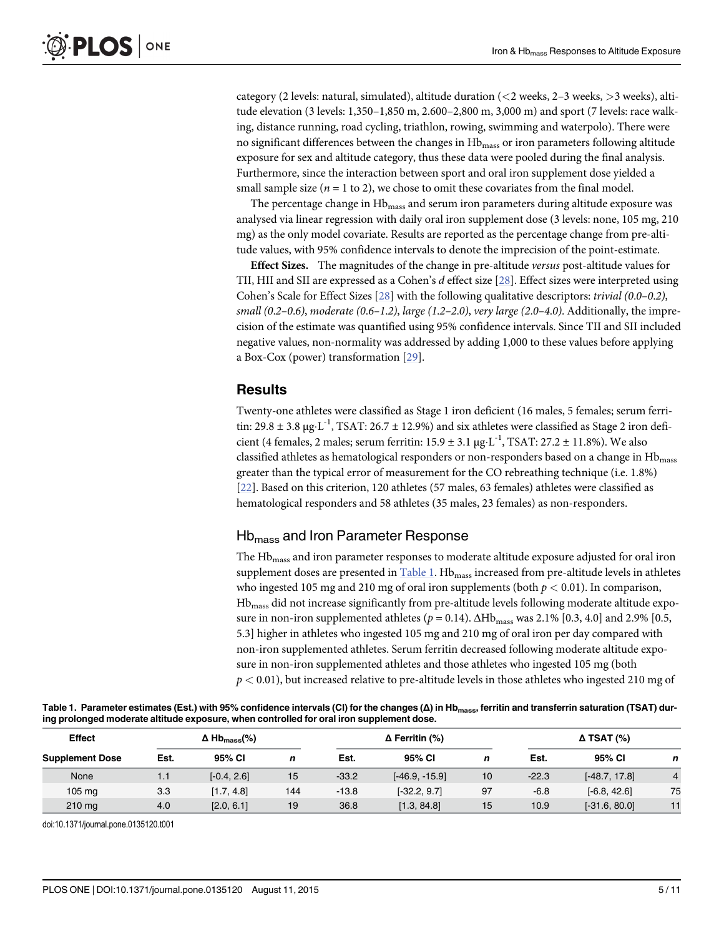<span id="page-4-0"></span>category (2 levels: natural, simulated), altitude duration (<2 weeks, 2–3 weeks, >3 weeks), altitude elevation (3 levels: 1,350–1,850 m, 2.600–2,800 m, 3,000 m) and sport (7 levels: race walking, distance running, road cycling, triathlon, rowing, swimming and waterpolo). There were no significant differences between the changes in Hb<sub>mass</sub> or iron parameters following altitude exposure for sex and altitude category, thus these data were pooled during the final analysis. Furthermore, since the interaction between sport and oral iron supplement dose yielded a small sample size  $(n = 1$  to 2), we chose to omit these covariates from the final model.

The percentage change in  $Hb<sub>mass</sub>$  and serum iron parameters during altitude exposure was analysed via linear regression with daily oral iron supplement dose (3 levels: none, 105 mg, 210 mg) as the only model covariate. Results are reported as the percentage change from pre-altitude values, with 95% confidence intervals to denote the imprecision of the point-estimate.

Effect Sizes. The magnitudes of the change in pre-altitude versus post-altitude values for TII, HII and SII are expressed as a Cohen's d effect size [[28\]](#page-9-0). Effect sizes were interpreted using Cohen's Scale for Effect Sizes [\[28\]](#page-9-0) with the following qualitative descriptors: trivial (0.0–0.2), small (0.2–0.6), moderate (0.6–1.2), large (1.2–2.0), very large (2.0–4.0). Additionally, the imprecision of the estimate was quantified using 95% confidence intervals. Since TII and SII included negative values, non-normality was addressed by adding 1,000 to these values before applying a Box-Cox (power) transformation [[29\]](#page-10-0).

## **Results**

Twenty-one athletes were classified as Stage 1 iron deficient (16 males, 5 females; serum ferritin:  $29.8 \pm 3.8 \mu$ g·L<sup>-1</sup>, TSAT:  $26.7 \pm 12.9\%$ ) and six athletes were classified as Stage 2 iron deficient (4 females, 2 males; serum ferritin:  $15.9 \pm 3.1$  µg·L<sup>-1</sup>, TSAT:  $27.2 \pm 11.8$ %). We also classified athletes as hematological responders or non-responders based on a change in  $Hb<sub>mass</sub>$ greater than the typical error of measurement for the CO rebreathing technique (i.e. 1.8%) [\[22](#page-9-0)]. Based on this criterion, 120 athletes (57 males, 63 females) athletes were classified as hematological responders and 58 athletes (35 males, 23 females) as non-responders.

## Hbmass and Iron Parameter Response

The Hb<sub>mass</sub> and iron parameter responses to moderate altitude exposure adjusted for oral iron supplement doses are presented in  $Table 1$ . Hb $_{mass}$  increased from pre-altitude levels in athletes who ingested 105 mg and 210 mg of oral iron supplements (both  $p < 0.01$ ). In comparison, Hbmass did not increase significantly from pre-altitude levels following moderate altitude exposure in non-iron supplemented athletes ( $p = 0.14$ ).  $\Delta Hb_{\text{mass}}$  was 2.1% [0.3, 4.0] and 2.9% [0.5, 5.3] higher in athletes who ingested 105 mg and 210 mg of oral iron per day compared with non-iron supplemented athletes. Serum ferritin decreased following moderate altitude exposure in non-iron supplemented athletes and those athletes who ingested 105 mg (both  $p < 0.01$ ), but increased relative to pre-altitude levels in those athletes who ingested 210 mg of

| Table 1. Parameter estimates (Est.) with 95% confidence intervals (CI) for the changes (A) in Hb <sub>mass</sub> , ferritin and transferrin saturation (TSAT) dur- |  |
|--------------------------------------------------------------------------------------------------------------------------------------------------------------------|--|
| ing prolonged moderate altitude exposure, when controlled for oral iron supplement dose.                                                                           |  |

| <b>Effect</b><br><b>Supplement Dose</b> | $\Delta$ Hb <sub>mass</sub> (%) |               |     | $\Delta$ Ferritin (%) |                  |    | $\Delta$ TSAT (%) |                 |                |
|-----------------------------------------|---------------------------------|---------------|-----|-----------------------|------------------|----|-------------------|-----------------|----------------|
|                                         | Est.                            | 95% CI        | n   | Est.                  | 95% CI           | n  | Est.              | 95% CI          | n              |
| None                                    | 1.1                             | $[-0.4, 2.6]$ | 15  | $-33.2$               | $[-46.9, -15.9]$ | 10 | $-22.3$           | $[-48.7, 17.8]$ | $\overline{4}$ |
| $105 \text{ mg}$                        | 3.3                             | [1.7, 4.8]    | 144 | $-13.8$               | $[-32.2, 9.7]$   | 97 | $-6.8$            | $[-6.8, 42.6]$  | 75             |
| $210$ mg                                | 4.0                             | [2.0, 6.1]    | 19  | 36.8                  | [1.3, 84.8]      | 15 | 10.9              | $[-31.6, 80.0]$ | 11             |

doi:10.1371/journal.pone.0135120.t001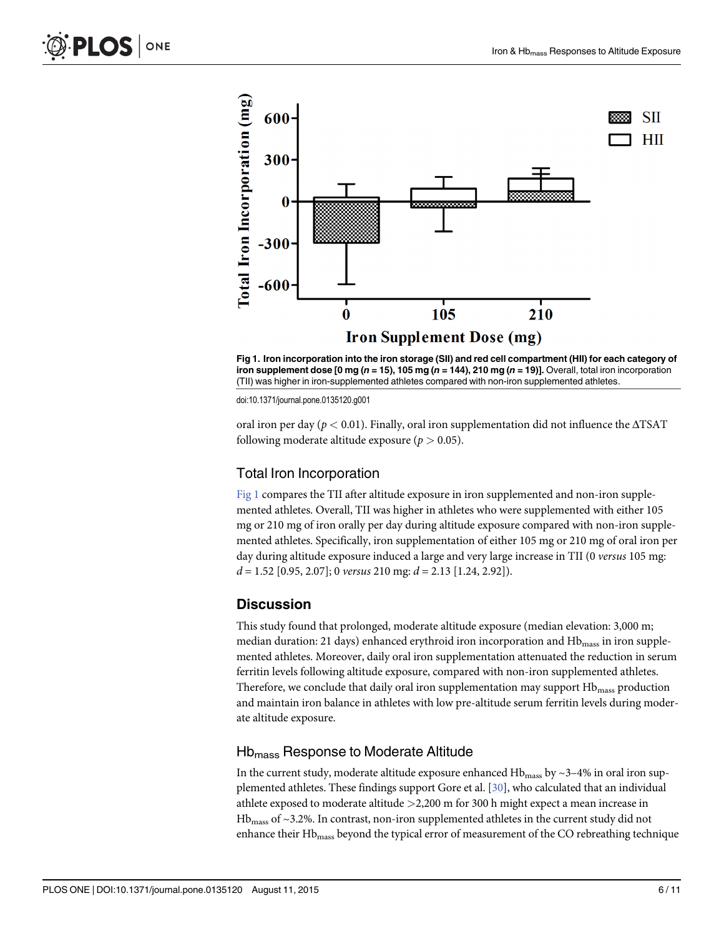<span id="page-5-0"></span>

Fig 1. Iron incorporation into the iron storage (SII) and red cell compartment (HII) for each category of iron supplement dose [0 mg ( $n = 15$ ), 105 mg ( $n = 144$ ), 210 mg ( $n = 19$ ]. Overall, total iron incorporation (TII) was higher in iron-supplemented athletes compared with non-iron supplemented athletes.

doi:10.1371/journal.pone.0135120.g001

oral iron per day ( $p < 0.01$ ). Finally, oral iron supplementation did not influence the  $\triangle$ TSAT following moderate altitude exposure ( $p > 0.05$ ).

#### Total Iron Incorporation

Fig 1 compares the TII after altitude exposure in iron supplemented and non-iron supplemented athletes. Overall, TII was higher in athletes who were supplemented with either 105 mg or 210 mg of iron orally per day during altitude exposure compared with non-iron supplemented athletes. Specifically, iron supplementation of either 105 mg or 210 mg of oral iron per day during altitude exposure induced a large and very large increase in TII (0 versus 105 mg:  $d = 1.52$  [0.95, 2.07]; 0 versus 210 mg:  $d = 2.13$  [1.24, 2.92]).

#### **Discussion**

This study found that prolonged, moderate altitude exposure (median elevation: 3,000 m; median duration: 21 days) enhanced erythroid iron incorporation and Hb<sub>mass</sub> in iron supplemented athletes. Moreover, daily oral iron supplementation attenuated the reduction in serum ferritin levels following altitude exposure, compared with non-iron supplemented athletes. Therefore, we conclude that daily oral iron supplementation may support Hb<sub>mass</sub> production and maintain iron balance in athletes with low pre-altitude serum ferritin levels during moderate altitude exposure.

#### Hb<sub>mass</sub> Response to Moderate Altitude

In the current study, moderate altitude exposure enhanced  $Hb<sub>mass</sub>$  by  $\sim$ 3–4% in oral iron supplemented athletes. These findings support Gore et al. [\[30\]](#page-10-0), who calculated that an individual athlete exposed to moderate altitude >2,200 m for 300 h might expect a mean increase in  $Hb<sub>mass</sub>$  of ~3.2%. In contrast, non-iron supplemented athletes in the current study did not enhance their Hb<sub>mass</sub> beyond the typical error of measurement of the CO rebreathing technique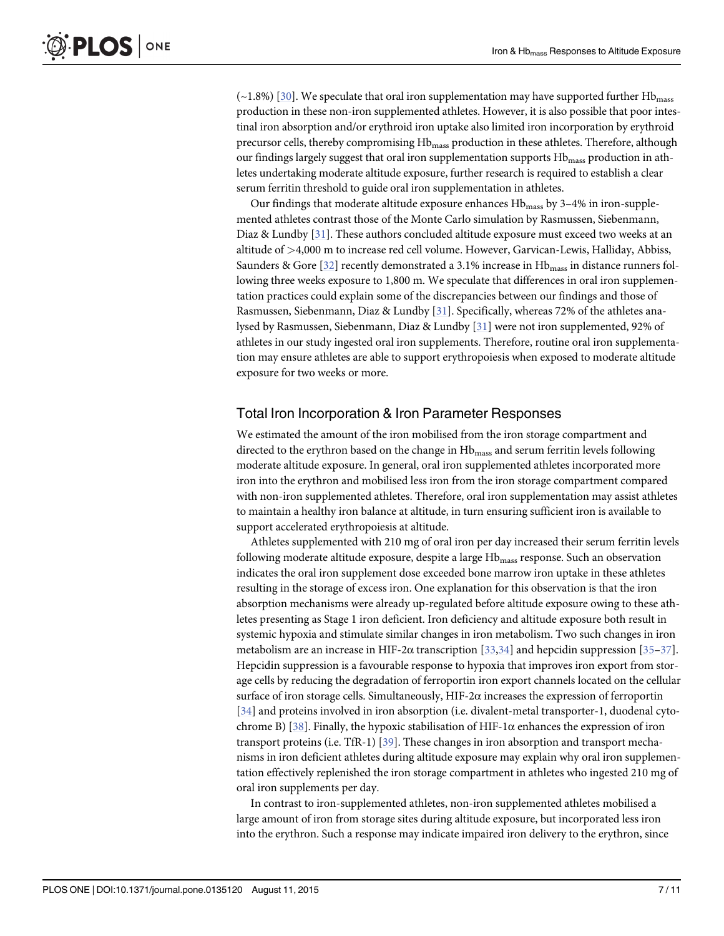<span id="page-6-0"></span> $(\sim1.8\%)$  [\[30\]](#page-10-0). We speculate that oral iron supplementation may have supported further Hb<sub>mass</sub> production in these non-iron supplemented athletes. However, it is also possible that poor intestinal iron absorption and/or erythroid iron uptake also limited iron incorporation by erythroid precursor cells, thereby compromising Hb<sub>mass</sub> production in these athletes. Therefore, although our findings largely suggest that oral iron supplementation supports Hb<sub>mass</sub> production in athletes undertaking moderate altitude exposure, further research is required to establish a clear serum ferritin threshold to guide oral iron supplementation in athletes.

Our findings that moderate altitude exposure enhances  $Hb<sub>mass</sub>$  by 3–4% in iron-supplemented athletes contrast those of the Monte Carlo simulation by Rasmussen, Siebenmann, Diaz & Lundby [\[31\]](#page-10-0). These authors concluded altitude exposure must exceed two weeks at an altitude of >4,000 m to increase red cell volume. However, Garvican-Lewis, Halliday, Abbiss, Saunders & Gore  $[32]$  $[32]$  recently demonstrated a 3.1% increase in  $Hb<sub>mass</sub>$  in distance runners following three weeks exposure to 1,800 m. We speculate that differences in oral iron supplementation practices could explain some of the discrepancies between our findings and those of Rasmussen, Siebenmann, Diaz & Lundby [[31\]](#page-10-0). Specifically, whereas 72% of the athletes analysed by Rasmussen, Siebenmann, Diaz & Lundby [\[31\]](#page-10-0) were not iron supplemented, 92% of athletes in our study ingested oral iron supplements. Therefore, routine oral iron supplementation may ensure athletes are able to support erythropoiesis when exposed to moderate altitude exposure for two weeks or more.

#### Total Iron Incorporation & Iron Parameter Responses

We estimated the amount of the iron mobilised from the iron storage compartment and directed to the erythron based on the change in Hb<sub>mass</sub> and serum ferritin levels following moderate altitude exposure. In general, oral iron supplemented athletes incorporated more iron into the erythron and mobilised less iron from the iron storage compartment compared with non-iron supplemented athletes. Therefore, oral iron supplementation may assist athletes to maintain a healthy iron balance at altitude, in turn ensuring sufficient iron is available to support accelerated erythropoiesis at altitude.

Athletes supplemented with 210 mg of oral iron per day increased their serum ferritin levels following moderate altitude exposure, despite a large Hb<sub>mass</sub> response. Such an observation indicates the oral iron supplement dose exceeded bone marrow iron uptake in these athletes resulting in the storage of excess iron. One explanation for this observation is that the iron absorption mechanisms were already up-regulated before altitude exposure owing to these athletes presenting as Stage 1 iron deficient. Iron deficiency and altitude exposure both result in systemic hypoxia and stimulate similar changes in iron metabolism. Two such changes in iron metabolism are an increase in HIF-2 $\alpha$  transcription [[33](#page-10-0),[34](#page-10-0)] and hepcidin suppression [[35](#page-10-0)–[37](#page-10-0)]. Hepcidin suppression is a favourable response to hypoxia that improves iron export from storage cells by reducing the degradation of ferroportin iron export channels located on the cellular surface of iron storage cells. Simultaneously, HIF-2 $\alpha$  increases the expression of ferroportin [\[34](#page-10-0)] and proteins involved in iron absorption (i.e. divalent-metal transporter-1, duodenal cyto-chrome B) [[38](#page-10-0)]. Finally, the hypoxic stabilisation of HIF-1 $\alpha$  enhances the expression of iron transport proteins (i.e. TfR-1) [[39](#page-10-0)]. These changes in iron absorption and transport mechanisms in iron deficient athletes during altitude exposure may explain why oral iron supplementation effectively replenished the iron storage compartment in athletes who ingested 210 mg of oral iron supplements per day.

In contrast to iron-supplemented athletes, non-iron supplemented athletes mobilised a large amount of iron from storage sites during altitude exposure, but incorporated less iron into the erythron. Such a response may indicate impaired iron delivery to the erythron, since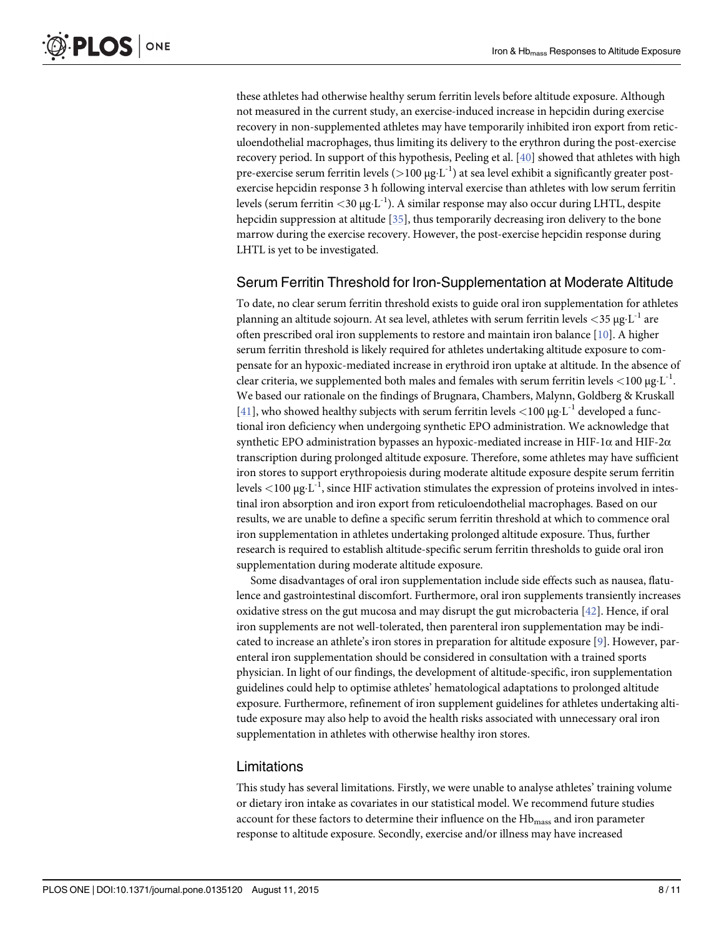<span id="page-7-0"></span>these athletes had otherwise healthy serum ferritin levels before altitude exposure. Although not measured in the current study, an exercise-induced increase in hepcidin during exercise recovery in non-supplemented athletes may have temporarily inhibited iron export from reticuloendothelial macrophages, thus limiting its delivery to the erythron during the post-exercise recovery period. In support of this hypothesis, Peeling et al. [[40](#page-10-0)] showed that athletes with high pre-exercise serum ferritin levels ( $>100 \mu g \cdot L^{-1}$ ) at sea level exhibit a significantly greater postexercise hepcidin response 3 h following interval exercise than athletes with low serum ferritin levels (serum ferritin  $<$ 30 μg·L<sup>-1</sup>). A similar response may also occur during LHTL, despite hepcidin suppression at altitude [[35\]](#page-10-0), thus temporarily decreasing iron delivery to the bone marrow during the exercise recovery. However, the post-exercise hepcidin response during LHTL is yet to be investigated.

#### Serum Ferritin Threshold for Iron-Supplementation at Moderate Altitude

To date, no clear serum ferritin threshold exists to guide oral iron supplementation for athletes planning an altitude sojourn. At sea level, athletes with serum ferritin levels  $\langle 35 \mu g \cdot L^{-1} \rangle$  are often prescribed oral iron supplements to restore and maintain iron balance [\[10\]](#page-9-0). A higher serum ferritin threshold is likely required for athletes undertaking altitude exposure to compensate for an hypoxic-mediated increase in erythroid iron uptake at altitude. In the absence of clear criteria, we supplemented both males and females with serum ferritin levels  $\langle 100 \mu g L^{-1} \rangle$ . We based our rationale on the findings of Brugnara, Chambers, Malynn, Goldberg & Kruskall [\[41](#page-10-0)], who showed healthy subjects with serum ferritin levels  $\langle 100 \text{ µg} \cdot L^{-1}$  developed a functional iron deficiency when undergoing synthetic EPO administration. We acknowledge that synthetic EPO administration bypasses an hypoxic-mediated increase in HIF-1 $\alpha$  and HIF-2 $\alpha$ transcription during prolonged altitude exposure. Therefore, some athletes may have sufficient iron stores to support erythropoiesis during moderate altitude exposure despite serum ferritin levels  $<$ 100 μg·L<sup>-1</sup>, since HIF activation stimulates the expression of proteins involved in intestinal iron absorption and iron export from reticuloendothelial macrophages. Based on our results, we are unable to define a specific serum ferritin threshold at which to commence oral iron supplementation in athletes undertaking prolonged altitude exposure. Thus, further research is required to establish altitude-specific serum ferritin thresholds to guide oral iron supplementation during moderate altitude exposure.

Some disadvantages of oral iron supplementation include side effects such as nausea, flatulence and gastrointestinal discomfort. Furthermore, oral iron supplements transiently increases oxidative stress on the gut mucosa and may disrupt the gut microbacteria [\[42\]](#page-10-0). Hence, if oral iron supplements are not well-tolerated, then parenteral iron supplementation may be indi-cated to increase an athlete's iron stores in preparation for altitude exposure [\[9](#page-9-0)]. However, parenteral iron supplementation should be considered in consultation with a trained sports physician. In light of our findings, the development of altitude-specific, iron supplementation guidelines could help to optimise athletes' hematological adaptations to prolonged altitude exposure. Furthermore, refinement of iron supplement guidelines for athletes undertaking altitude exposure may also help to avoid the health risks associated with unnecessary oral iron supplementation in athletes with otherwise healthy iron stores.

#### Limitations

This study has several limitations. Firstly, we were unable to analyse athletes' training volume or dietary iron intake as covariates in our statistical model. We recommend future studies account for these factors to determine their influence on the  $Hb<sub>mass</sub>$  and iron parameter response to altitude exposure. Secondly, exercise and/or illness may have increased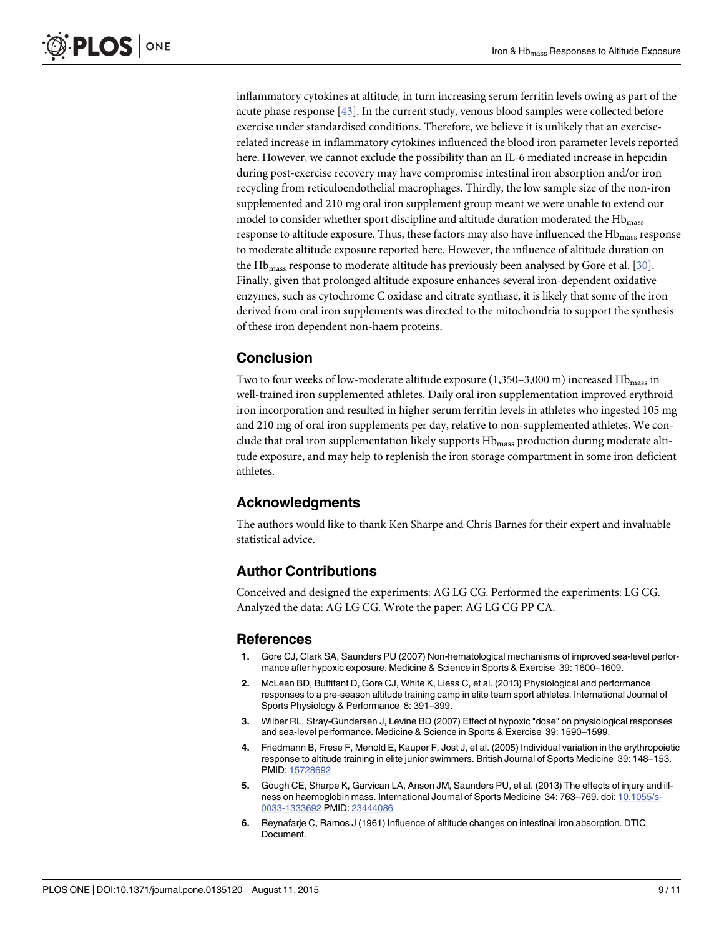<span id="page-8-0"></span>inflammatory cytokines at altitude, in turn increasing serum ferritin levels owing as part of the acute phase response [[43](#page-10-0)]. In the current study, venous blood samples were collected before exercise under standardised conditions. Therefore, we believe it is unlikely that an exerciserelated increase in inflammatory cytokines influenced the blood iron parameter levels reported here. However, we cannot exclude the possibility than an IL-6 mediated increase in hepcidin during post-exercise recovery may have compromise intestinal iron absorption and/or iron recycling from reticuloendothelial macrophages. Thirdly, the low sample size of the non-iron supplemented and 210 mg oral iron supplement group meant we were unable to extend our model to consider whether sport discipline and altitude duration moderated the  $Hb<sub>mass</sub>$ response to altitude exposure. Thus, these factors may also have influenced the Hb<sub>mass</sub> response to moderate altitude exposure reported here. However, the influence of altitude duration on the Hb<sub>mass</sub> response to moderate altitude has previously been analysed by Gore et al. [\[30](#page-10-0)]. Finally, given that prolonged altitude exposure enhances several iron-dependent oxidative enzymes, such as cytochrome C oxidase and citrate synthase, it is likely that some of the iron derived from oral iron supplements was directed to the mitochondria to support the synthesis of these iron dependent non-haem proteins.

# Conclusion

Two to four weeks of low-moderate altitude exposure  $(1,350-3,000 \text{ m})$  increased  $Hb_{\text{mass}}$  in well-trained iron supplemented athletes. Daily oral iron supplementation improved erythroid iron incorporation and resulted in higher serum ferritin levels in athletes who ingested 105 mg and 210 mg of oral iron supplements per day, relative to non-supplemented athletes. We conclude that oral iron supplementation likely supports Hb<sub>mass</sub> production during moderate altitude exposure, and may help to replenish the iron storage compartment in some iron deficient athletes.

# Acknowledgments

The authors would like to thank Ken Sharpe and Chris Barnes for their expert and invaluable statistical advice.

# Author Contributions

Conceived and designed the experiments: AG LG CG. Performed the experiments: LG CG. Analyzed the data: AG LG CG. Wrote the paper: AG LG CG PP CA.

## References

- [1.](#page-1-0) Gore CJ, Clark SA, Saunders PU (2007) Non-hematological mechanisms of improved sea-level performance after hypoxic exposure. Medicine & Science in Sports & Exercise 39: 1600–1609.
- [2.](#page-1-0) McLean BD, Buttifant D, Gore CJ, White K, Liess C, et al. (2013) Physiological and performance responses to a pre-season altitude training camp in elite team sport athletes. International Journal of Sports Physiology & Performance 8: 391–399.
- [3.](#page-1-0) Wilber RL, Stray-Gundersen J, Levine BD (2007) Effect of hypoxic "dose" on physiological responses and sea-level performance. Medicine & Science in Sports & Exercise 39: 1590–1599.
- [4.](#page-1-0) Friedmann B, Frese F, Menold E, Kauper F, Jost J, et al. (2005) Individual variation in the erythropoietic response to altitude training in elite junior swimmers. British Journal of Sports Medicine 39: 148–153. PMID: [15728692](http://www.ncbi.nlm.nih.gov/pubmed/15728692)
- [5.](#page-1-0) Gough CE, Sharpe K, Garvican LA, Anson JM, Saunders PU, et al. (2013) The effects of injury and ill-ness on haemoglobin mass. International Journal of Sports Medicine 34: 763-769. doi: [10.1055/s-](http://dx.doi.org/10.1055/s-0033-1333692)[0033-1333692](http://dx.doi.org/10.1055/s-0033-1333692) PMID: [23444086](http://www.ncbi.nlm.nih.gov/pubmed/23444086)
- [6.](#page-1-0) Reynafarje C, Ramos J (1961) Influence of altitude changes on intestinal iron absorption. DTIC Document.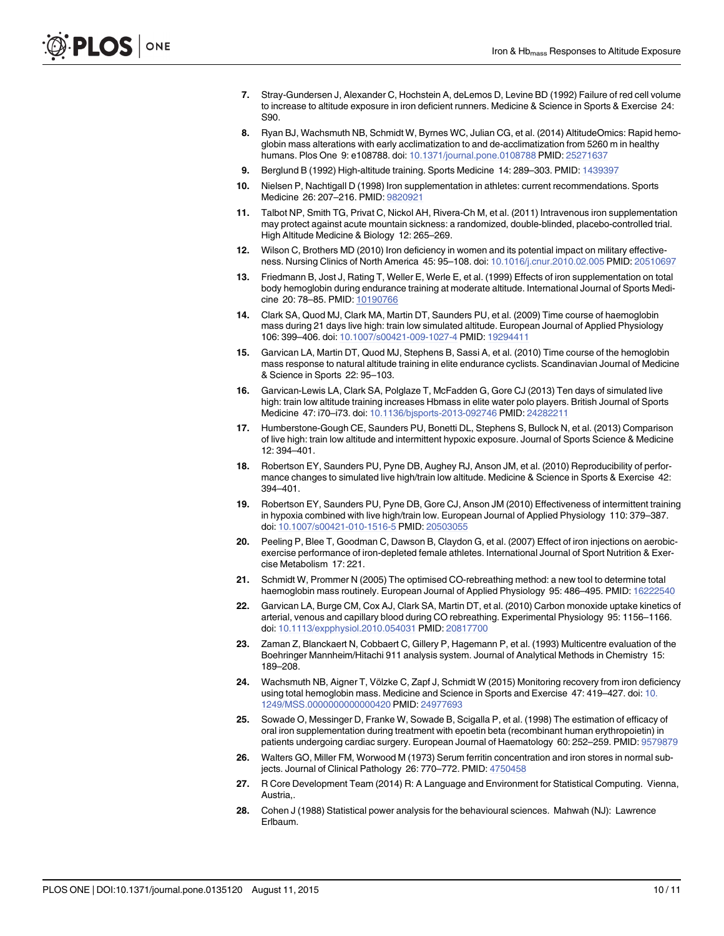- <span id="page-9-0"></span>[7.](#page-1-0) Stray-Gundersen J, Alexander C, Hochstein A, deLemos D, Levine BD (1992) Failure of red cell volume to increase to altitude exposure in iron deficient runners. Medicine & Science in Sports & Exercise 24: S90.
- [8.](#page-1-0) Ryan BJ, Wachsmuth NB, Schmidt W, Byrnes WC, Julian CG, et al. (2014) AltitudeOmics: Rapid hemoglobin mass alterations with early acclimatization to and de-acclimatization from 5260 m in healthy humans. Plos One 9: e108788. doi: [10.1371/journal.pone.0108788](http://dx.doi.org/10.1371/journal.pone.0108788) PMID: [25271637](http://www.ncbi.nlm.nih.gov/pubmed/25271637)
- [9.](#page-1-0) Berglund B (1992) High-altitude training. Sports Medicine 14: 289–303. PMID: [1439397](http://www.ncbi.nlm.nih.gov/pubmed/1439397)
- [10.](#page-1-0) Nielsen P, Nachtigall D (1998) Iron supplementation in athletes: current recommendations. Sports Medicine 26: 207–216. PMID: [9820921](http://www.ncbi.nlm.nih.gov/pubmed/9820921)
- [11.](#page-1-0) Talbot NP, Smith TG, Privat C, Nickol AH, Rivera-Ch M, et al. (2011) Intravenous iron supplementation may protect against acute mountain sickness: a randomized, double-blinded, placebo-controlled trial. High Altitude Medicine & Biology 12: 265–269.
- [12.](#page-1-0) Wilson C, Brothers MD (2010) Iron deficiency in women and its potential impact on military effectiveness. Nursing Clinics of North America 45: 95–108. doi: [10.1016/j.cnur.2010.02.005](http://dx.doi.org/10.1016/j.cnur.2010.02.005) PMID: [20510697](http://www.ncbi.nlm.nih.gov/pubmed/20510697)
- [13.](#page-1-0) Friedmann B, Jost J, Rating T, Weller E, Werle E, et al. (1999) Effects of iron supplementation on total body hemoglobin during endurance training at moderate altitude. International Journal of Sports Medicine 20: 78–85. PMID: [10190766](http://www.ncbi.nlm.nih.gov/pubmed/10190766)
- [14.](#page-2-0) Clark SA, Quod MJ, Clark MA, Martin DT, Saunders PU, et al. (2009) Time course of haemoglobin mass during 21 days live high: train low simulated altitude. European Journal of Applied Physiology 106: 399–406. doi: [10.1007/s00421-009-1027-4](http://dx.doi.org/10.1007/s00421-009-1027-4) PMID: [19294411](http://www.ncbi.nlm.nih.gov/pubmed/19294411)
- [15.](#page-2-0) Garvican LA, Martin DT, Quod MJ, Stephens B, Sassi A, et al. (2010) Time course of the hemoglobin mass response to natural altitude training in elite endurance cyclists. Scandinavian Journal of Medicine & Science in Sports 22: 95–103.
- [16.](#page-3-0) Garvican-Lewis LA, Clark SA, Polglaze T, McFadden G, Gore CJ (2013) Ten days of simulated live high: train low altitude training increases Hbmass in elite water polo players. British Journal of Sports Medicine 47: i70–i73. doi: [10.1136/bjsports-2013-092746](http://dx.doi.org/10.1136/bjsports-2013-092746) PMID: [24282211](http://www.ncbi.nlm.nih.gov/pubmed/24282211)
- 17. Humberstone-Gough CE, Saunders PU, Bonetti DL, Stephens S, Bullock N, et al. (2013) Comparison of live high: train low altitude and intermittent hypoxic exposure. Journal of Sports Science & Medicine 12: 394–401.
- 18. Robertson EY, Saunders PU, Pyne DB, Aughey RJ, Anson JM, et al. (2010) Reproducibility of performance changes to simulated live high/train low altitude. Medicine & Science in Sports & Exercise 42: 394–401.
- [19.](#page-2-0) Robertson EY, Saunders PU, Pyne DB, Gore CJ, Anson JM (2010) Effectiveness of intermittent training in hypoxia combined with live high/train low. European Journal of Applied Physiology 110: 379–387. doi: [10.1007/s00421-010-1516-5](http://dx.doi.org/10.1007/s00421-010-1516-5) PMID: [20503055](http://www.ncbi.nlm.nih.gov/pubmed/20503055)
- [20.](#page-2-0) Peeling P, Blee T, Goodman C, Dawson B, Claydon G, et al. (2007) Effect of iron injections on aerobicexercise performance of iron-depleted female athletes. International Journal of Sport Nutrition & Exercise Metabolism 17: 221.
- [21.](#page-3-0) Schmidt W, Prommer N (2005) The optimised CO-rebreathing method: a new tool to determine total haemoglobin mass routinely. European Journal of Applied Physiology 95: 486-495. PMID: [16222540](http://www.ncbi.nlm.nih.gov/pubmed/16222540)
- [22.](#page-3-0) Garvican LA, Burge CM, Cox AJ, Clark SA, Martin DT, et al. (2010) Carbon monoxide uptake kinetics of arterial, venous and capillary blood during CO rebreathing. Experimental Physiology 95: 1156–1166. doi: [10.1113/expphysiol.2010.054031](http://dx.doi.org/10.1113/expphysiol.2010.054031) PMID: [20817700](http://www.ncbi.nlm.nih.gov/pubmed/20817700)
- [23.](#page-3-0) Zaman Z, Blanckaert N, Cobbaert C, Gillery P, Hagemann P, et al. (1993) Multicentre evaluation of the Boehringer Mannheim/Hitachi 911 analysis system. Journal of Analytical Methods in Chemistry 15: 189–208.
- [24.](#page-3-0) Wachsmuth NB, Aigner T, Völzke C, Zapf J, Schmidt W (2015) Monitoring recovery from iron deficiency using total hemoglobin mass. Medicine and Science in Sports and Exercise 47: 419–427. doi: [10.](http://dx.doi.org/10.1249/MSS.0000000000000420) [1249/MSS.0000000000000420](http://dx.doi.org/10.1249/MSS.0000000000000420) PMID: [24977693](http://www.ncbi.nlm.nih.gov/pubmed/24977693)
- [25.](#page-3-0) Sowade O, Messinger D, Franke W, Sowade B, Scigalla P, et al. (1998) The estimation of efficacy of oral iron supplementation during treatment with epoetin beta (recombinant human erythropoietin) in patients undergoing cardiac surgery. European Journal of Haematology 60: 252–259. PMID: [9579879](http://www.ncbi.nlm.nih.gov/pubmed/9579879)
- [26.](#page-3-0) Walters GO, Miller FM, Worwood M (1973) Serum ferritin concentration and iron stores in normal sub-jects. Journal of Clinical Pathology 26: 770-772. PMID: [4750458](http://www.ncbi.nlm.nih.gov/pubmed/4750458)
- [27.](#page-3-0) R Core Development Team (2014) R: A Language and Environment for Statistical Computing. Vienna, Austria,.
- [28.](#page-4-0) Cohen J (1988) Statistical power analysis for the behavioural sciences. Mahwah (NJ): Lawrence Erlbaum.